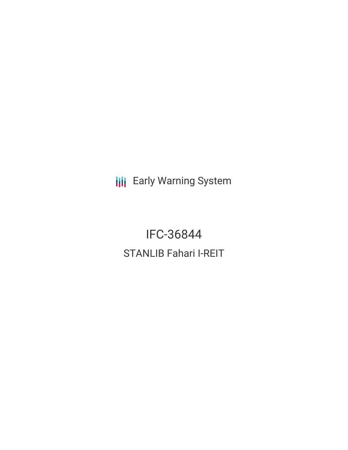**III** Early Warning System

IFC-36844 STANLIB Fahari I-REIT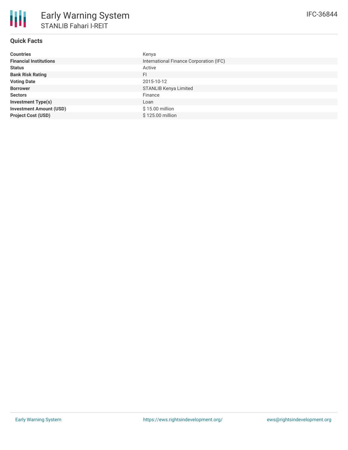# **Quick Facts**

| <b>Countries</b>               | Kenya                                   |
|--------------------------------|-----------------------------------------|
| <b>Financial Institutions</b>  | International Finance Corporation (IFC) |
| <b>Status</b>                  | Active                                  |
| <b>Bank Risk Rating</b>        | <b>FI</b>                               |
| <b>Voting Date</b>             | 2015-10-12                              |
| <b>Borrower</b>                | <b>STANLIB Kenya Limited</b>            |
| <b>Sectors</b>                 | Finance                                 |
| <b>Investment Type(s)</b>      | Loan                                    |
| <b>Investment Amount (USD)</b> | \$15.00 million                         |
| <b>Project Cost (USD)</b>      | \$125.00 million                        |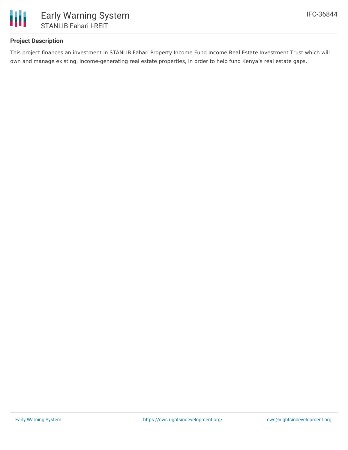

## **Project Description**

This project finances an investment in STANLIB Fahari Property Income Fund Income Real Estate Investment Trust which will own and manage existing, income-generating real estate properties, in order to help fund Kenya's real estate gaps.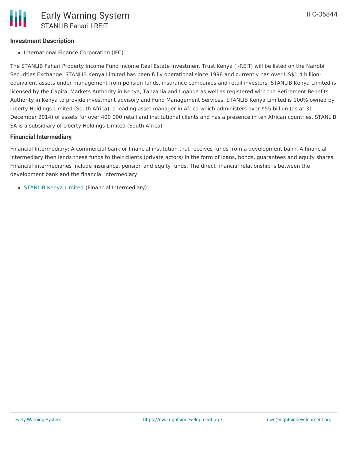### **Investment Description**

• International Finance Corporation (IFC)

The STANLIB Fahari Property Income Fund Income Real Estate Investment Trust Kenya (I-REIT) will be listed on the Nairobi Securities Exchange. STANLIB Kenya Limited has been fully operational since 1998 and currently has over US\$1.4 billionequivalent assets under management from pension funds, insurance companies and retail investors. STANLIB Kenya Limited is licensed by the Capital Markets Authority in Kenya, Tanzania and Uganda as well as registered with the Retirement Benefits Authority in Kenya to provide investment advisory and Fund Management Services. STANLIB Kenya Limited is 100% owned by Liberty Holdings Limited (South Africa), a leading asset manager in Africa which administers over \$55 billion (as at 31 December 2014) of assets for over 400 000 retail and institutional clients and has a presence in ten African countries. STANLIB SA is a subsidiary of Liberty Holdings Limited (South Africa)

#### **Financial Intermediary**

Financial Intermediary: A commercial bank or financial institution that receives funds from a development bank. A financial intermediary then lends these funds to their clients (private actors) in the form of loans, bonds, guarantees and equity shares. Financial intermediaries include insurance, pension and equity funds. The direct financial relationship is between the development bank and the financial intermediary.

• [STANLIB](file:///actor/1230/) Kenya Limited (Financial Intermediary)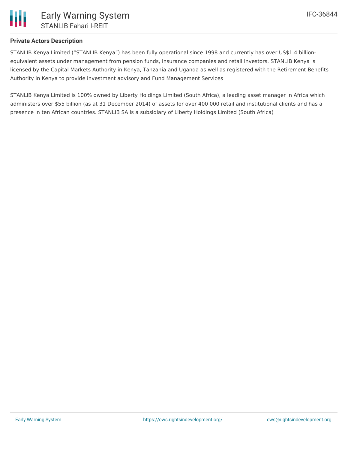

### **Private Actors Description**

STANLIB Kenya Limited ("STANLIB Kenya") has been fully operational since 1998 and currently has over US\$1.4 billionequivalent assets under management from pension funds, insurance companies and retail investors. STANLIB Kenya is licensed by the Capital Markets Authority in Kenya, Tanzania and Uganda as well as registered with the Retirement Benefits Authority in Kenya to provide investment advisory and Fund Management Services

STANLIB Kenya Limited is 100% owned by Liberty Holdings Limited (South Africa), a leading asset manager in Africa which administers over \$55 billion (as at 31 December 2014) of assets for over 400 000 retail and institutional clients and has a presence in ten African countries. STANLIB SA is a subsidiary of Liberty Holdings Limited (South Africa)